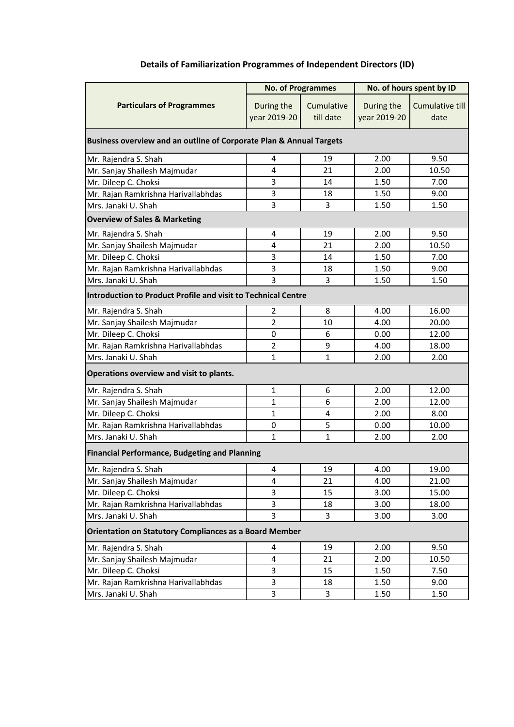| <b>Details of Familiarization Programmes of Independent Directors (ID)</b> |  |  |  |  |
|----------------------------------------------------------------------------|--|--|--|--|
|----------------------------------------------------------------------------|--|--|--|--|

|                                                                      | <b>No. of Programmes</b>   |                         | No. of hours spent by ID   |                                |  |  |  |
|----------------------------------------------------------------------|----------------------------|-------------------------|----------------------------|--------------------------------|--|--|--|
| <b>Particulars of Programmes</b>                                     | During the<br>year 2019-20 | Cumulative<br>till date | During the<br>year 2019-20 | <b>Cumulative till</b><br>date |  |  |  |
| Business overview and an outline of Corporate Plan & Annual Targets  |                            |                         |                            |                                |  |  |  |
| Mr. Rajendra S. Shah                                                 | $\overline{4}$             | 19                      | 2.00                       | 9.50                           |  |  |  |
| Mr. Sanjay Shailesh Majmudar                                         | 4                          | 21                      | 2.00                       | 10.50                          |  |  |  |
| Mr. Dileep C. Choksi                                                 | 3                          | 14                      | 1.50                       | 7.00                           |  |  |  |
| Mr. Rajan Ramkrishna Harivallabhdas                                  | 3                          | 18                      | 1.50                       | 9.00                           |  |  |  |
| Mrs. Janaki U. Shah                                                  | 3                          | 3                       | 1.50                       | 1.50                           |  |  |  |
| <b>Overview of Sales &amp; Marketing</b>                             |                            |                         |                            |                                |  |  |  |
| Mr. Rajendra S. Shah                                                 | $\overline{4}$             | 19                      | 2.00                       | 9.50                           |  |  |  |
| Mr. Sanjay Shailesh Majmudar                                         | $\overline{4}$             | 21                      | 2.00                       | 10.50                          |  |  |  |
| Mr. Dileep C. Choksi                                                 | 3                          | 14                      | 1.50                       | 7.00                           |  |  |  |
| Mr. Rajan Ramkrishna Harivallabhdas                                  | 3                          | 18                      | 1.50                       | 9.00                           |  |  |  |
| Mrs. Janaki U. Shah                                                  | 3                          | 3                       | 1.50                       | 1.50                           |  |  |  |
| <b>Introduction to Product Profile and visit to Technical Centre</b> |                            |                         |                            |                                |  |  |  |
| Mr. Rajendra S. Shah                                                 | $\overline{2}$             | 8                       | 4.00                       | 16.00                          |  |  |  |
| Mr. Sanjay Shailesh Majmudar                                         | $\overline{2}$             | 10                      | 4.00                       | 20.00                          |  |  |  |
| Mr. Dileep C. Choksi                                                 | $\mathbf 0$                | 6                       | 0.00                       | 12.00                          |  |  |  |
| Mr. Rajan Ramkrishna Harivallabhdas                                  | $\overline{2}$             | 9                       | 4.00                       | 18.00                          |  |  |  |
| Mrs. Janaki U. Shah                                                  | $\mathbf 1$                | $\mathbf{1}$            | 2.00                       | 2.00                           |  |  |  |
| Operations overview and visit to plants.                             |                            |                         |                            |                                |  |  |  |
| Mr. Rajendra S. Shah                                                 | $\mathbf 1$                | 6                       | 2.00                       | 12.00                          |  |  |  |
| Mr. Sanjay Shailesh Majmudar                                         | $\mathbf 1$                | 6                       | 2.00                       | 12.00                          |  |  |  |
| Mr. Dileep C. Choksi                                                 | $\mathbf{1}$               | 4                       | 2.00                       | 8.00                           |  |  |  |
| Mr. Rajan Ramkrishna Harivallabhdas                                  | $\mathbf 0$                | 5                       | 0.00                       | 10.00                          |  |  |  |
| Mrs. Janaki U. Shah                                                  | $\mathbf{1}$               | $\mathbf{1}$            | 2.00                       | 2.00                           |  |  |  |
| <b>Financial Performance, Budgeting and Planning</b>                 |                            |                         |                            |                                |  |  |  |
| Mr. Rajendra S. Shah                                                 | $\overline{4}$             | 19                      | 4.00                       | 19.00                          |  |  |  |
| Mr. Sanjay Shailesh Majmudar                                         | $\overline{4}$             | 21                      | 4.00                       | 21.00                          |  |  |  |
| Mr. Dileep C. Choksi                                                 | 3                          | 15                      | 3.00                       | 15.00                          |  |  |  |
| Mr. Rajan Ramkrishna Harivallabhdas                                  | 3                          | 18                      | 3.00                       | 18.00                          |  |  |  |
| Mrs. Janaki U. Shah                                                  | 3                          | 3                       | 3.00                       | 3.00                           |  |  |  |
| <b>Orientation on Statutory Compliances as a Board Member</b>        |                            |                         |                            |                                |  |  |  |
| Mr. Rajendra S. Shah                                                 | 4                          | 19                      | 2.00                       | 9.50                           |  |  |  |
| Mr. Sanjay Shailesh Majmudar                                         | $\overline{4}$             | 21                      | 2.00                       | 10.50                          |  |  |  |
| Mr. Dileep C. Choksi                                                 | 3                          | 15                      | 1.50                       | 7.50                           |  |  |  |
| Mr. Rajan Ramkrishna Harivallabhdas                                  | 3                          | 18                      | 1.50                       | 9.00                           |  |  |  |
| Mrs. Janaki U. Shah                                                  | 3                          | 3                       | 1.50                       | 1.50                           |  |  |  |